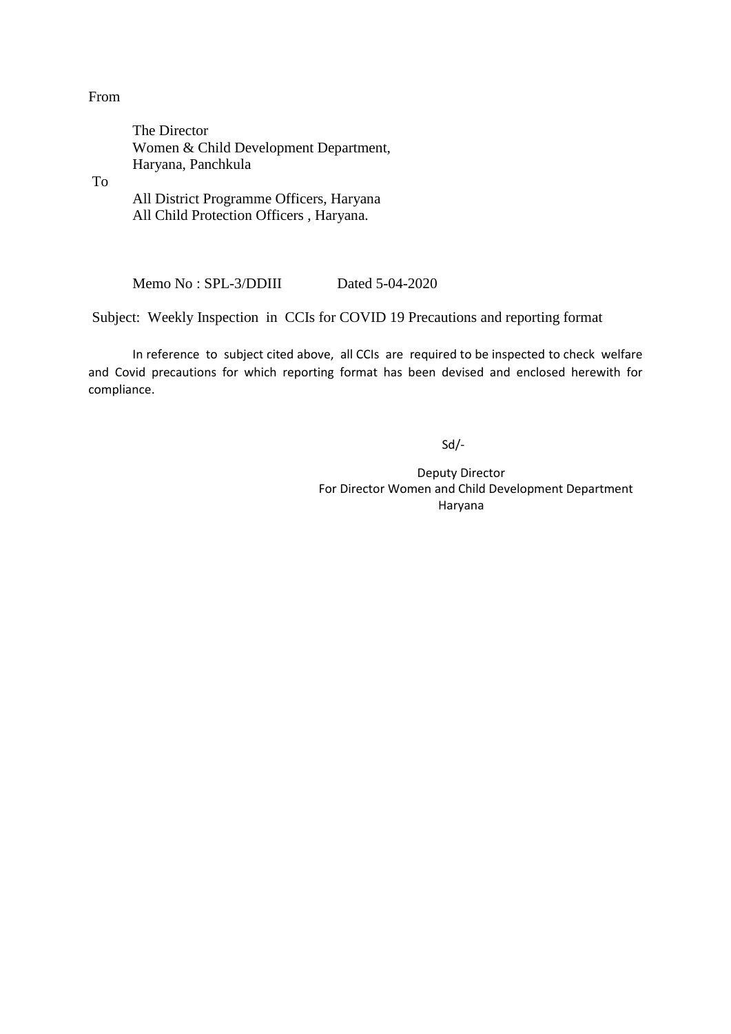#### From

 The Director Women & Child Development Department, Haryana, Panchkula

To

 All District Programme Officers, Haryana All Child Protection Officers , Haryana.

Memo No : SPL-3/DDIII Dated 5-04-2020

Subject: Weekly Inspection in CCIs for COVID 19 Precautions and reporting format

In reference to subject cited above, all CCIs are required to be inspected to check welfare and Covid precautions for which reporting format has been devised and enclosed herewith for compliance.

Sd/-

Deputy Director For Director Women and Child Development Department Haryana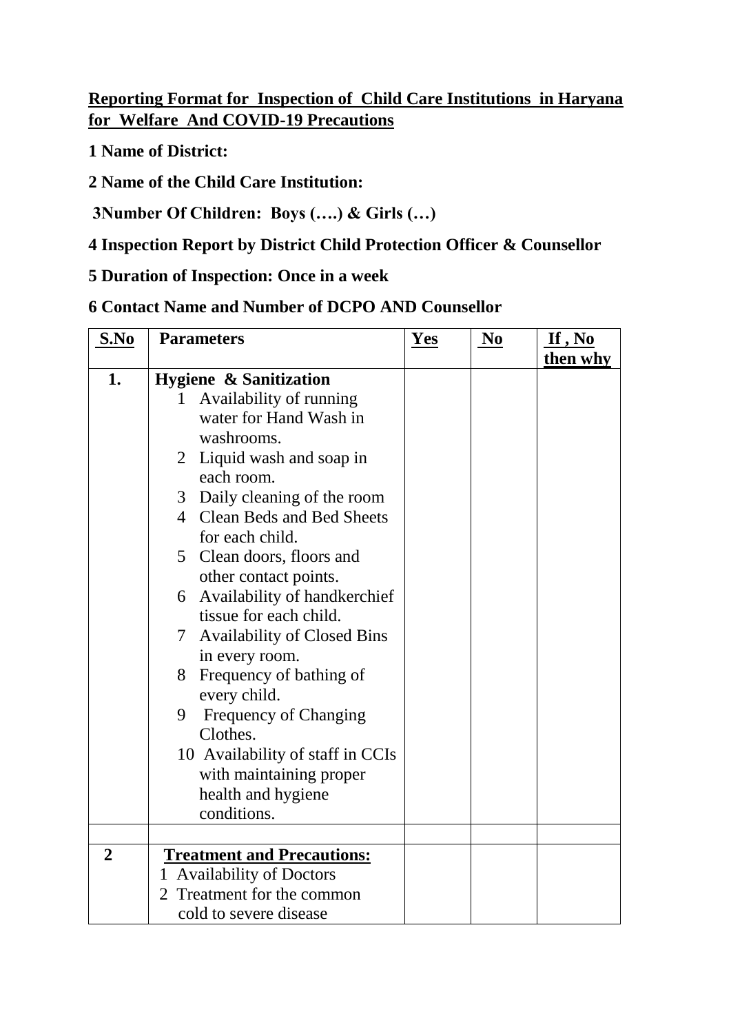# **Reporting Format for Inspection of Child Care Institutions in Haryana for Welfare And COVID-19 Precautions**

**1 Name of District:**

**2 Name of the Child Care Institution:**

**3Number Of Children: Boys (….) & Girls (…)** 

# **4 Inspection Report by District Child Protection Officer & Counsellor**

## **5 Duration of Inspection: Once in a week**

## **6 Contact Name and Number of DCPO AND Counsellor**

| S.No           | <b>Parameters</b>                       | Yes | N <sub>0</sub> | If, No   |
|----------------|-----------------------------------------|-----|----------------|----------|
|                |                                         |     |                | then why |
| 1.             | <b>Hygiene &amp; Sanitization</b>       |     |                |          |
|                | Availability of running<br>1            |     |                |          |
|                | water for Hand Wash in                  |     |                |          |
|                | washrooms.                              |     |                |          |
|                | 2 Liquid wash and soap in               |     |                |          |
|                | each room.                              |     |                |          |
|                | 3 Daily cleaning of the room            |     |                |          |
|                | 4 Clean Beds and Bed Sheets             |     |                |          |
|                | for each child.                         |     |                |          |
|                | 5 Clean doors, floors and               |     |                |          |
|                | other contact points.                   |     |                |          |
|                | Availability of handkerchief<br>6       |     |                |          |
|                | tissue for each child.                  |     |                |          |
|                | <b>Availability of Closed Bins</b><br>7 |     |                |          |
|                | in every room.                          |     |                |          |
|                | 8 Frequency of bathing of               |     |                |          |
|                | every child.                            |     |                |          |
|                | Frequency of Changing<br>9              |     |                |          |
|                | Clothes.                                |     |                |          |
|                | 10 Availability of staff in CCIs        |     |                |          |
|                | with maintaining proper                 |     |                |          |
|                | health and hygiene                      |     |                |          |
|                | conditions.                             |     |                |          |
|                |                                         |     |                |          |
| $\overline{2}$ | <b>Treatment and Precautions:</b>       |     |                |          |
|                | 1 Availability of Doctors               |     |                |          |
|                | Treatment for the common                |     |                |          |
|                | cold to severe disease                  |     |                |          |